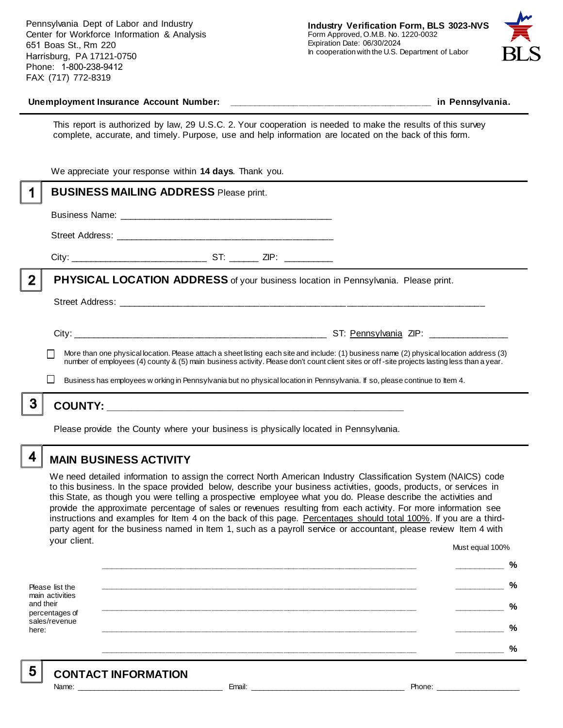Pennsylvania Dept of Labor and Industry Center for Workforce Information & Analysis 651 Boas St., Rm 220 Harrisburg, PA 17121-0750 Phone: 1-800-238-9412 FAX: (717) 772-8319



#### **Unemployment Insurance Account Number: \_\_\_\_\_\_\_\_\_\_\_\_\_\_\_\_\_\_\_\_\_\_\_\_\_\_\_\_\_\_\_\_\_\_\_\_\_\_\_\_ in Pennsylvania.**

This report is authorized by law, 29 U.S.C. 2. Your cooperation is needed to make the results of this survey complete, accurate, and timely. Purpose, use and help information are located on the back of this form.

|   | We appreciate your response within 14 days. Thank you.                                                                                                                                                                                                                                                                                                                                                                  |
|---|-------------------------------------------------------------------------------------------------------------------------------------------------------------------------------------------------------------------------------------------------------------------------------------------------------------------------------------------------------------------------------------------------------------------------|
|   | <b>BUSINESS MAILING ADDRESS Please print.</b>                                                                                                                                                                                                                                                                                                                                                                           |
|   |                                                                                                                                                                                                                                                                                                                                                                                                                         |
|   |                                                                                                                                                                                                                                                                                                                                                                                                                         |
|   |                                                                                                                                                                                                                                                                                                                                                                                                                         |
| 2 | <b>PHYSICAL LOCATION ADDRESS</b> of your business location in Pennsylvania. Please print.                                                                                                                                                                                                                                                                                                                               |
|   |                                                                                                                                                                                                                                                                                                                                                                                                                         |
|   | More than one physical location. Please attach a sheet listing each site and include: (1) business name (2) physical location address (3)<br>number of employees (4) county & (5) main business activity. Please don't count client sites or off-site projects lasting less than a year.<br>Business has employees w orking in Pennsylvania but no physical location in Pennsylvania. If so, please continue to Item 4. |
|   |                                                                                                                                                                                                                                                                                                                                                                                                                         |
|   |                                                                                                                                                                                                                                                                                                                                                                                                                         |

Please provide the County where your business is physically located in Pennsylvania.

4

5

# **MAIN BUSINESS ACTIVITY**

We need detailed information to assign the correct North American Industry Classification System (NAICS) code to this business. In the space provided below, describe your business activities, goods, products, or services in this State, as though you were telling a prospective employee what you do. Please describe the activities and provide the approximate percentage of sales or revenues resulting from each activity. For more information see instructions and examples for Item 4 on the back of this page. Percentages should total 100%. If you are a thirdparty agent for the business named in Item 1, such as a payroll service or accountant, please review Item 4 with your client. Must equal 100%

Please list the main activities and their percentages of sales/revenue here: **\_\_\_\_\_\_\_\_\_\_\_\_\_\_\_\_\_\_\_\_\_\_\_\_\_\_\_\_\_\_\_\_\_\_\_\_\_\_\_\_\_\_\_\_\_\_\_\_\_\_\_\_\_\_\_\_\_\_\_\_\_\_ \_\_\_\_\_\_\_\_\_\_ % \_\_\_\_\_\_\_\_\_\_\_\_\_\_\_\_\_\_\_\_\_\_\_\_\_\_\_\_\_\_\_\_\_\_\_\_\_\_\_\_\_\_\_\_\_\_\_\_\_\_\_\_\_\_\_\_\_\_\_\_\_\_ \_\_\_\_\_\_\_\_\_\_ % \_\_\_\_\_\_\_\_\_\_\_\_\_\_\_\_\_\_\_\_\_\_\_\_\_\_\_\_\_\_\_\_\_\_\_\_\_\_\_\_\_\_\_\_\_\_\_\_\_\_\_\_\_\_\_\_\_\_\_\_\_\_ \_\_\_\_\_\_\_\_\_\_ % \_\_\_\_\_\_\_\_\_\_\_\_\_\_\_\_\_\_\_\_\_\_\_\_\_\_\_\_\_\_\_\_\_\_\_\_\_\_\_\_\_\_\_\_\_\_\_\_\_\_\_\_\_\_\_\_\_\_\_\_\_\_ \_\_\_\_\_\_\_\_\_\_ % \_\_\_\_\_\_\_\_\_\_\_\_\_\_\_\_\_\_\_\_\_\_\_\_\_\_\_\_\_\_\_\_\_\_\_\_\_\_\_\_\_\_\_\_\_\_\_\_\_\_\_\_\_\_\_\_\_\_\_\_\_\_ \_\_\_\_\_\_\_\_\_\_ %**